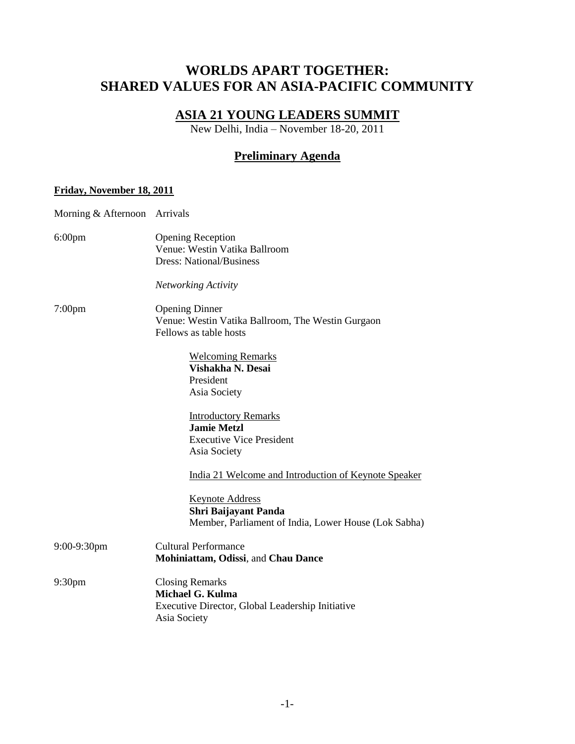# **WORLDS APART TOGETHER: SHARED VALUES FOR AN ASIA-PACIFIC COMMUNITY**

# **ASIA 21 YOUNG LEADERS SUMMIT**

New Delhi, India – November 18-20, 2011

## **Preliminary Agenda**

### **Friday, November 18, 2011**

| Morning & Afternoon Arrivals |                                                                                                                       |
|------------------------------|-----------------------------------------------------------------------------------------------------------------------|
| $6:00$ pm                    | <b>Opening Reception</b><br>Venue: Westin Vatika Ballroom<br><b>Dress: National/Business</b>                          |
|                              | <b>Networking Activity</b>                                                                                            |
| $7:00$ pm                    | <b>Opening Dinner</b><br>Venue: Westin Vatika Ballroom, The Westin Gurgaon<br>Fellows as table hosts                  |
|                              | <b>Welcoming Remarks</b><br>Vishakha N. Desai<br>President<br>Asia Society                                            |
|                              | <b>Introductory Remarks</b><br><b>Jamie Metzl</b><br><b>Executive Vice President</b><br>Asia Society                  |
|                              | India 21 Welcome and Introduction of Keynote Speaker                                                                  |
|                              | <b>Keynote Address</b><br>Shri Baijayant Panda<br>Member, Parliament of India, Lower House (Lok Sabha)                |
| 9:00-9:30pm                  | <b>Cultural Performance</b><br>Mohiniattam, Odissi, and Chau Dance                                                    |
| 9:30 <sub>pm</sub>           | <b>Closing Remarks</b><br><b>Michael G. Kulma</b><br>Executive Director, Global Leadership Initiative<br>Asia Society |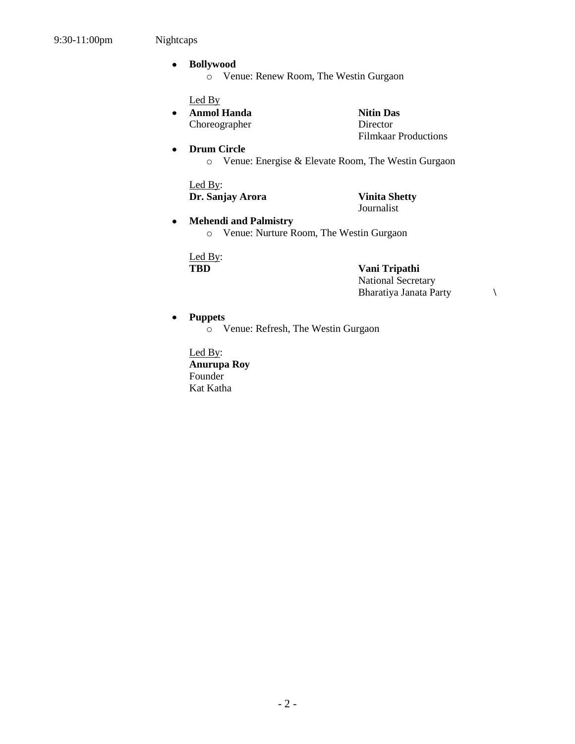$\bullet$ 

#### **Bollywood**   $\bullet$

o Venue: Renew Room, The Westin Gurgaon

Led By

**Anmol Handa Nitin Das**  $\bullet$ Choreographer Director

Filmkaar Productions

#### $\bullet$ **Drum Circle**

o Venue: Energise & Elevate Room, The Westin Gurgaon

Led By: **Dr. Sanjay Arora Vinita Shetty**

Journalist

**Mehendi and Palmistry**  o Venue: Nurture Room, The Westin Gurgaon

Led By:

**TBD Vani Tripathi** National Secretary Bharatiya Janata Party **\**

#### **Puppets**  $\bullet$

o Venue: Refresh, The Westin Gurgaon

Led By: **Anurupa Roy** Founder Kat Katha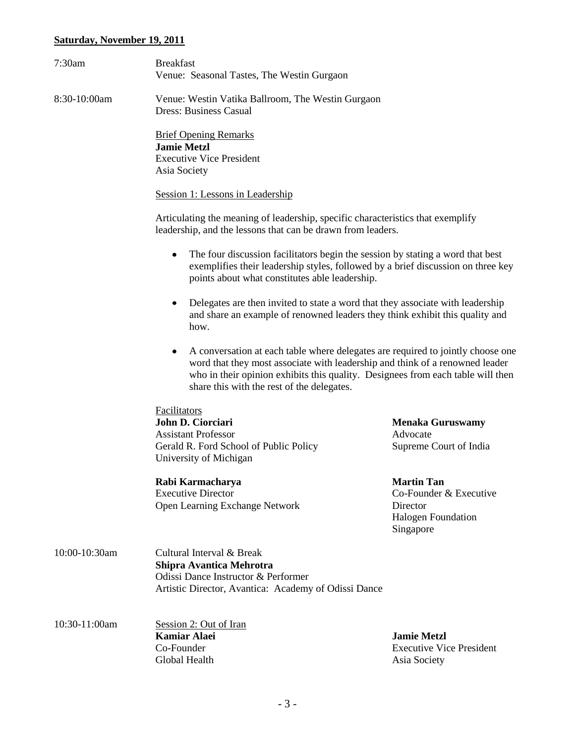## **Saturday, November 19, 2011**

| 7:30am        | <b>Breakfast</b>                                                                                                                                                                                                                                                                                      |                                                                                                   |  |  |
|---------------|-------------------------------------------------------------------------------------------------------------------------------------------------------------------------------------------------------------------------------------------------------------------------------------------------------|---------------------------------------------------------------------------------------------------|--|--|
|               | Venue: Seasonal Tastes, The Westin Gurgaon                                                                                                                                                                                                                                                            |                                                                                                   |  |  |
| 8:30-10:00am  | Venue: Westin Vatika Ballroom, The Westin Gurgaon<br><b>Dress: Business Casual</b>                                                                                                                                                                                                                    |                                                                                                   |  |  |
|               | <b>Brief Opening Remarks</b><br><b>Jamie Metzl</b><br><b>Executive Vice President</b><br>Asia Society                                                                                                                                                                                                 |                                                                                                   |  |  |
|               | Session 1: Lessons in Leadership                                                                                                                                                                                                                                                                      |                                                                                                   |  |  |
|               | Articulating the meaning of leadership, specific characteristics that exemplify<br>leadership, and the lessons that can be drawn from leaders.                                                                                                                                                        |                                                                                                   |  |  |
|               | The four discussion facilitators begin the session by stating a word that best<br>٠<br>exemplifies their leadership styles, followed by a brief discussion on three key<br>points about what constitutes able leadership.                                                                             |                                                                                                   |  |  |
|               | Delegates are then invited to state a word that they associate with leadership<br>$\bullet$<br>and share an example of renowned leaders they think exhibit this quality and<br>how.                                                                                                                   |                                                                                                   |  |  |
|               | A conversation at each table where delegates are required to jointly choose one<br>٠<br>word that they most associate with leadership and think of a renowned leader<br>who in their opinion exhibits this quality. Designees from each table will then<br>share this with the rest of the delegates. |                                                                                                   |  |  |
|               | <b>Facilitators</b><br>John D. Ciorciari<br><b>Assistant Professor</b><br>Gerald R. Ford School of Public Policy<br>University of Michigan                                                                                                                                                            | <b>Menaka Guruswamy</b><br>Advocate<br>Supreme Court of India                                     |  |  |
|               | Rabi Karmacharya<br><b>Executive Director</b><br>Open Learning Exchange Network                                                                                                                                                                                                                       | <b>Martin Tan</b><br>Co-Founder & Executive<br>Director<br><b>Halogen Foundation</b><br>Singapore |  |  |
| 10:00-10:30am | Cultural Interval & Break<br><b>Shipra Avantica Mehrotra</b><br>Odissi Dance Instructor & Performer<br>Artistic Director, Avantica: Academy of Odissi Dance                                                                                                                                           |                                                                                                   |  |  |
| 10:30-11:00am | Session 2: Out of Iran<br><b>Kamiar Alaei</b><br>Co-Founder<br>Global Health                                                                                                                                                                                                                          | <b>Jamie Metzl</b><br><b>Executive Vice President</b><br>Asia Society                             |  |  |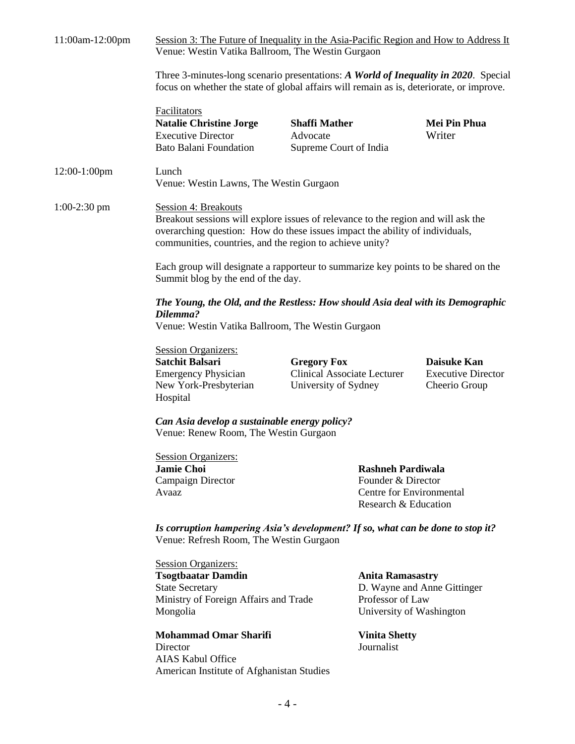| 11:00am-12:00pm | Session 3: The Future of Inequality in the Asia-Pacific Region and How to Address It<br>Venue: Westin Vatika Ballroom, The Westin Gurgaon                                                                                                                    |                                                                                                    |                                                                                                        |                                                                  |
|-----------------|--------------------------------------------------------------------------------------------------------------------------------------------------------------------------------------------------------------------------------------------------------------|----------------------------------------------------------------------------------------------------|--------------------------------------------------------------------------------------------------------|------------------------------------------------------------------|
|                 | Three 3-minutes-long scenario presentations: A World of Inequality in 2020. Special<br>focus on whether the state of global affairs will remain as is, deteriorate, or improve.                                                                              |                                                                                                    |                                                                                                        |                                                                  |
|                 | <b>Facilitators</b><br><b>Natalie Christine Jorge</b><br><b>Executive Director</b><br><b>Bato Balani Foundation</b>                                                                                                                                          | <b>Shaffi Mather</b><br>Advocate<br>Supreme Court of India                                         |                                                                                                        | Mei Pin Phua<br>Writer                                           |
| $12:00-1:00$ pm | Lunch<br>Venue: Westin Lawns, The Westin Gurgaon                                                                                                                                                                                                             |                                                                                                    |                                                                                                        |                                                                  |
| $1:00-2:30$ pm  | <b>Session 4: Breakouts</b><br>Breakout sessions will explore issues of relevance to the region and will ask the<br>overarching question: How do these issues impact the ability of individuals,<br>communities, countries, and the region to achieve unity? |                                                                                                    |                                                                                                        |                                                                  |
|                 | Each group will designate a rapporteur to summarize key points to be shared on the<br>Summit blog by the end of the day.                                                                                                                                     |                                                                                                    |                                                                                                        |                                                                  |
|                 | The Young, the Old, and the Restless: How should Asia deal with its Demographic<br>Dilemma?<br>Venue: Westin Vatika Ballroom, The Westin Gurgaon                                                                                                             |                                                                                                    |                                                                                                        |                                                                  |
|                 | <b>Session Organizers:</b><br><b>Satchit Balsari</b><br><b>Emergency Physician</b><br>New York-Presbyterian<br>Hospital                                                                                                                                      | <b>Gregory Fox</b><br><b>Clinical Associate Lecturer</b><br>University of Sydney                   |                                                                                                        | <b>Daisuke Kan</b><br><b>Executive Director</b><br>Cheerio Group |
|                 | Can Asia develop a sustainable energy policy?<br>Venue: Renew Room, The Westin Gurgaon                                                                                                                                                                       |                                                                                                    |                                                                                                        |                                                                  |
|                 | <b>Session Organizers:</b><br><b>Jamie Choi</b><br>Campaign Director<br>Avaaz                                                                                                                                                                                | <b>Rashneh Pardiwala</b><br>Founder & Director<br>Centre for Environmental<br>Research & Education |                                                                                                        |                                                                  |
|                 | Is corruption hampering Asia's development? If so, what can be done to stop it?<br>Venue: Refresh Room, The Westin Gurgaon                                                                                                                                   |                                                                                                    |                                                                                                        |                                                                  |
|                 | <b>Session Organizers:</b><br><b>Tsogtbaatar Damdin</b><br><b>State Secretary</b><br>Ministry of Foreign Affairs and Trade<br>Mongolia                                                                                                                       |                                                                                                    | <b>Anita Ramasastry</b><br>D. Wayne and Anne Gittinger<br>Professor of Law<br>University of Washington |                                                                  |
|                 | <b>Mohammad Omar Sharifi</b><br>Director<br><b>AIAS Kabul Office</b><br>American Institute of Afghanistan Studies                                                                                                                                            |                                                                                                    | <b>Vinita Shetty</b><br>Journalist                                                                     |                                                                  |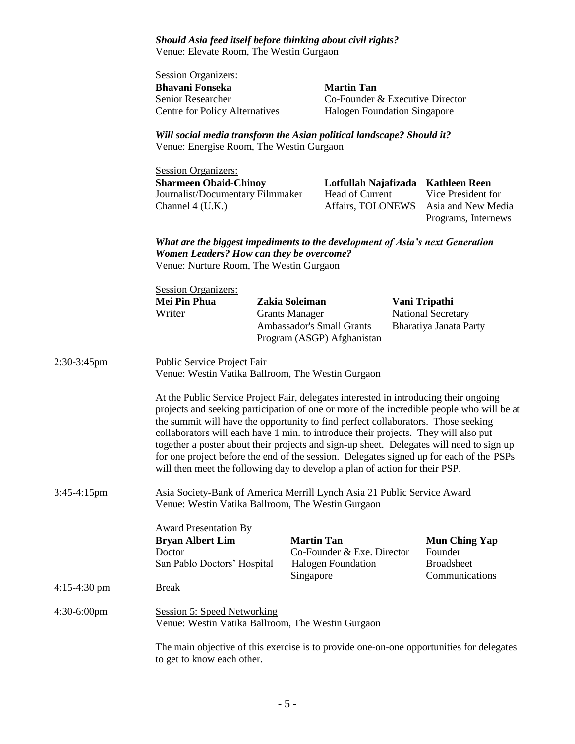*Should Asia feed itself before thinking about civil rights?*  Venue: Elevate Room, The Westin Gurgaon

|              | <b>Session Organizers:</b><br><b>Bhavani Fonseka</b><br>Senior Researcher<br><b>Centre for Policy Alternatives</b>                                                                                                                                                                                                                                                                                                                                                                                                                                                                                                                   |                                                                                                                   | <b>Martin Tan</b><br>Co-Founder & Executive Director<br>Halogen Foundation Singapore |  |                                                                        |  |
|--------------|--------------------------------------------------------------------------------------------------------------------------------------------------------------------------------------------------------------------------------------------------------------------------------------------------------------------------------------------------------------------------------------------------------------------------------------------------------------------------------------------------------------------------------------------------------------------------------------------------------------------------------------|-------------------------------------------------------------------------------------------------------------------|--------------------------------------------------------------------------------------|--|------------------------------------------------------------------------|--|
|              |                                                                                                                                                                                                                                                                                                                                                                                                                                                                                                                                                                                                                                      | Will social media transform the Asian political landscape? Should it?<br>Venue: Energise Room, The Westin Gurgaon |                                                                                      |  |                                                                        |  |
|              | <b>Session Organizers:</b><br><b>Sharmeen Obaid-Chinoy</b><br>Journalist/Documentary Filmmaker<br>Channel 4 (U.K.)                                                                                                                                                                                                                                                                                                                                                                                                                                                                                                                   |                                                                                                                   | Lotfullah Najafizada Kathleen Reen<br>Head of Current<br>Affairs, TOLONEWS           |  | Vice President for<br>Asia and New Media<br>Programs, Internews        |  |
|              | What are the biggest impediments to the development of Asia's next Generation<br>Women Leaders? How can they be overcome?<br>Venue: Nurture Room, The Westin Gurgaon                                                                                                                                                                                                                                                                                                                                                                                                                                                                 |                                                                                                                   |                                                                                      |  |                                                                        |  |
|              | <b>Session Organizers:</b><br>Mei Pin Phua<br>Writer                                                                                                                                                                                                                                                                                                                                                                                                                                                                                                                                                                                 | Zakia Soleiman<br><b>Grants Manager</b>                                                                           | <b>Ambassador's Small Grants</b><br>Program (ASGP) Afghanistan                       |  | Vani Tripathi<br>National Secretary<br>Bharatiya Janata Party          |  |
| 2:30-3:45pm  | <b>Public Service Project Fair</b><br>Venue: Westin Vatika Ballroom, The Westin Gurgaon                                                                                                                                                                                                                                                                                                                                                                                                                                                                                                                                              |                                                                                                                   |                                                                                      |  |                                                                        |  |
|              | At the Public Service Project Fair, delegates interested in introducing their ongoing<br>projects and seeking participation of one or more of the incredible people who will be at<br>the summit will have the opportunity to find perfect collaborators. Those seeking<br>collaborators will each have 1 min. to introduce their projects. They will also put<br>together a poster about their projects and sign-up sheet. Delegates will need to sign up<br>for one project before the end of the session. Delegates signed up for each of the PSPs<br>will then meet the following day to develop a plan of action for their PSP. |                                                                                                                   |                                                                                      |  |                                                                        |  |
| 3:45-4:15pm  | Asia Society-Bank of America Merrill Lynch Asia 21 Public Service Award<br>Venue: Westin Vatika Ballroom, The Westin Gurgaon                                                                                                                                                                                                                                                                                                                                                                                                                                                                                                         |                                                                                                                   |                                                                                      |  |                                                                        |  |
|              | <b>Award Presentation By</b><br><b>Bryan Albert Lim</b><br>Doctor<br>San Pablo Doctors' Hospital                                                                                                                                                                                                                                                                                                                                                                                                                                                                                                                                     | <b>Martin Tan</b><br>Singapore                                                                                    | Co-Founder & Exe. Director<br><b>Halogen Foundation</b>                              |  | <b>Mun Ching Yap</b><br>Founder<br><b>Broadsheet</b><br>Communications |  |
| 4:15-4:30 pm | <b>Break</b>                                                                                                                                                                                                                                                                                                                                                                                                                                                                                                                                                                                                                         |                                                                                                                   |                                                                                      |  |                                                                        |  |
| 4:30-6:00pm  | <b>Session 5: Speed Networking</b><br>Venue: Westin Vatika Ballroom, The Westin Gurgaon                                                                                                                                                                                                                                                                                                                                                                                                                                                                                                                                              |                                                                                                                   |                                                                                      |  |                                                                        |  |
|              | The main objective of this exercise is to provide one-on-one opportunities for delegates                                                                                                                                                                                                                                                                                                                                                                                                                                                                                                                                             |                                                                                                                   |                                                                                      |  |                                                                        |  |

to get to know each other.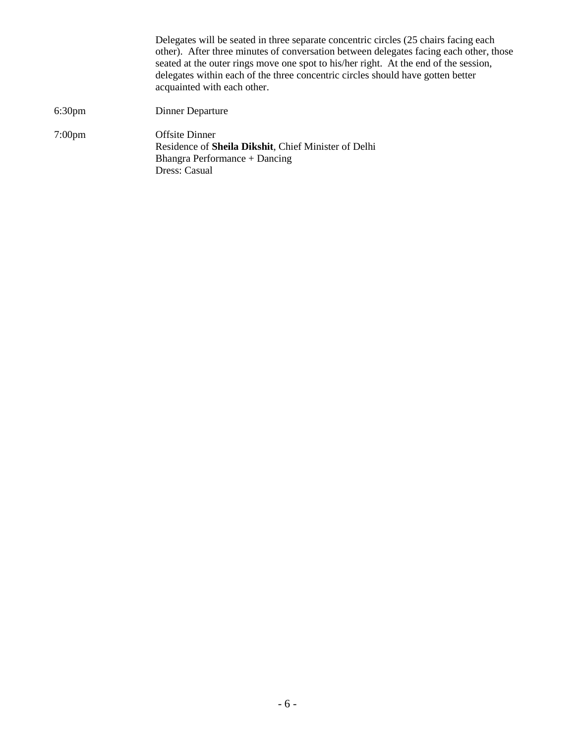Delegates will be seated in three separate concentric circles (25 chairs facing each other). After three minutes of conversation between delegates facing each other, those seated at the outer rings move one spot to his/her right. At the end of the session, delegates within each of the three concentric circles should have gotten better acquainted with each other. 6:30pm Dinner Departure 7:00pm Offsite Dinner Residence of **Sheila Dikshit**, Chief Minister of Delhi Bhangra Performance + Dancing Dress: Casual